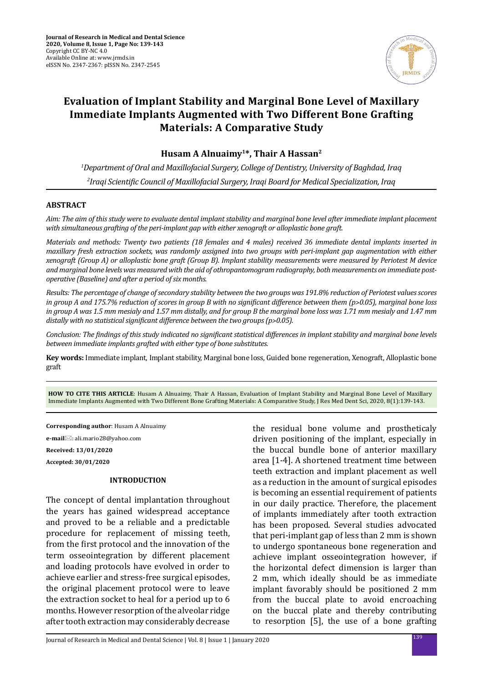

# **Evaluation of Implant Stability and Marginal Bone Level of Maxillary Immediate Implants Augmented with Two Different Bone Grafting Materials: A Comparative Study**

**Husam A Alnuaimy1\*, Thair A Hassan2**

*1 Department of Oral and Maxillofacial Surgery, College of Dentistry, University of Baghdad, Iraq 2 Iraqi Scientific Council of Maxillofacial Surgery, Iraqi Board for Medical Specialization, Iraq*

## **ABSTRACT**

*Aim: The aim of this study were to evaluate dental implant stability and marginal bone level after immediate implant placement with simultaneous grafting of the peri-implant gap with either xenograft or alloplastic bone graft.* 

*Materials and methods: Twenty two patients (18 females and 4 males) received 36 immediate dental implants inserted in maxillary fresh extraction sockets, was randomly assigned into two groups with peri-implant gap augmentation with either xenograft (Group A) or alloplastic bone graft (Group B). Implant stability measurements were measured by Periotest M device and marginal bone levels was measured with the aid of othropantomogram radiography, both measurements on immediate postoperative (Baseline) and after a period of six months.*

*Results: The percentage of change of secondary stability between the two groups was 191.8% reduction of Periotest values scores in group A and 175.7% reduction of scores in group B with no significant difference between them (p˃0.05), marginal bone loss in group A was 1.5 mm mesialy and 1.57 mm distally, and for group B the marginal bone loss was 1.71 mm mesialy and 1.47 mm*  distally with no statistical significant difference between the two groups (p>0.05).

*Conclusion: The findings of this study indicated no significant statistical differences in implant stability and marginal bone levels between immediate implants grafted with either type of bone substitutes.*

**Key words:** Immediate implant, Implant stability, Marginal bone loss, Guided bone regeneration, Xenograft, Alloplastic bone graft

**HOW TO CITE THIS ARTICLE**: Husam A Alnuaimy, Thair A Hassan, Evaluation of Implant Stability and Marginal Bone Level of Maxillary Immediate Implants Augmented with Two Different Bone Grafting Materials: A Comparative Study, J Res Med Dent Sci, 2020, 8(1):139-143.

**Corresponding author**: Husam A Alnuaimy

**e-mail**: ali.mario28@yahoo.com

**Received: 13/01/2020**

**Accepted: 30/01/2020**

## **INTRODUCTION**

The concept of dental implantation throughout the years has gained widespread acceptance and proved to be a reliable and a predictable procedure for replacement of missing teeth, from the first protocol and the innovation of the term osseointegration by different placement and loading protocols have evolved in order to achieve earlier and stress-free surgical episodes, the original placement protocol were to leave the extraction socket to heal for a period up to 6 months. However resorption of the alveolar ridge after tooth extraction may considerably decrease

the residual bone volume and prostheticaly driven positioning of the implant, especially in the buccal bundle bone of anterior maxillary area [1-4]. A shortened treatment time between teeth extraction and implant placement as well as a reduction in the amount of surgical episodes is becoming an essential requirement of patients in our daily practice. Therefore, the placement of implants immediately after tooth extraction has been proposed. Several studies advocated that peri-implant gap of less than 2 mm is shown to undergo spontaneous bone regeneration and achieve implant osseointegration however, if the horizontal defect dimension is larger than 2 mm, which ideally should be as immediate implant favorably should be positioned 2 mm from the buccal plate to avoid encroaching on the buccal plate and thereby contributing to resorption [5], the use of a bone grafting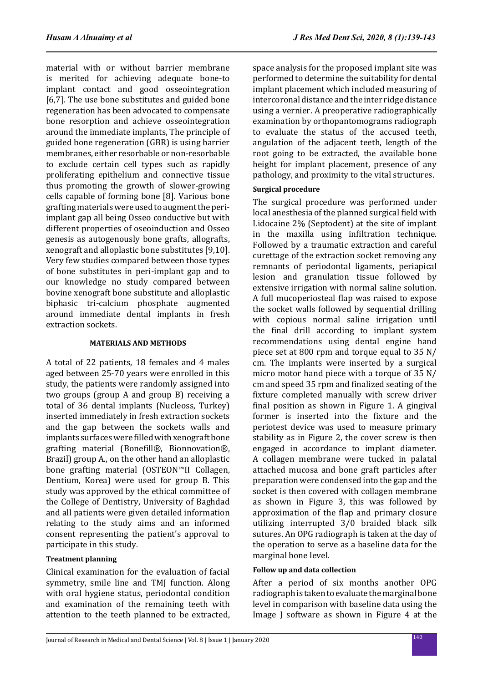material with or without barrier membrane is merited for achieving adequate bone-to implant contact and good osseointegration [6,7]. The use bone substitutes and guided bone regeneration has been advocated to compensate bone resorption and achieve osseointegration around the immediate implants, The principle of guided bone regeneration (GBR) is using barrier membranes, either resorbable or non-resorbable to exclude certain cell types such as rapidly proliferating epithelium and connective tissue thus promoting the growth of slower-growing cells capable of forming bone [8]. Various bone grafting materials were used to augment the periimplant gap all being Osseo conductive but with different properties of oseoinduction and Osseo genesis as autogenously bone grafts, allografts, xenograft and alloplastic bone substitutes [9,10]. Very few studies compared between those types of bone substitutes in peri-implant gap and to our knowledge no study compared between bovine xenograft bone substitute and alloplastic biphasic tri-calcium phosphate augmented around immediate dental implants in fresh extraction sockets.

## **MATERIALS AND METHODS**

A total of 22 patients, 18 females and 4 males aged between 25-70 years were enrolled in this study, the patients were randomly assigned into two groups (group A and group B) receiving a total of 36 dental implants (Nucleoss, Turkey) inserted immediately in fresh extraction sockets and the gap between the sockets walls and implants surfaces were filled with xenograft bone grafting material (Bonefill®, Bionnovation®, Brazil) group A., on the other hand an alloplastic bone grafting material (OSTEON™II Collagen, Dentium, Korea) were used for group B. This study was approved by the ethical committee of the College of Dentistry, University of Baghdad and all patients were given detailed information relating to the study aims and an informed consent representing the patient's approval to participate in this study.

## **Treatment planning**

Clinical examination for the evaluation of facial symmetry, smile line and TMJ function. Along with oral hygiene status, periodontal condition and examination of the remaining teeth with attention to the teeth planned to be extracted, space analysis for the proposed implant site was performed to determine the suitability for dental implant placement which included measuring of intercoronal distance and the inter ridge distance using a vernier. A preoperative radiographically examination by orthopantomograms radiograph to evaluate the status of the accused teeth, angulation of the adjacent teeth, length of the root going to be extracted, the available bone height for implant placement, presence of any pathology, and proximity to the vital structures.

# **Surgical procedure**

The surgical procedure was performed under local anesthesia of the planned surgical field with Lidocaine 2% (Septodent) at the site of implant in the maxilla using infiltration technique. Followed by a traumatic extraction and careful curettage of the extraction socket removing any remnants of periodontal ligaments, periapical lesion and granulation tissue followed by extensive irrigation with normal saline solution. A full mucoperiosteal flap was raised to expose the socket walls followed by sequential drilling with copious normal saline irrigation until the final drill according to implant system recommendations using dental engine hand piece set at 800 rpm and torque equal to 35 N/ cm. The implants were inserted by a surgical micro motor hand piece with a torque of 35 N/ cm and speed 35 rpm and finalized seating of the fixture completed manually with screw driver final position as shown in Figure 1. A gingival former is inserted into the fixture and the periotest device was used to measure primary stability as in Figure 2, the cover screw is then engaged in accordance to implant diameter. A collagen membrane were tucked in palatal attached mucosa and bone graft particles after preparation were condensed into the gap and the socket is then covered with collagen membrane as shown in Figure 3, this was followed by approximation of the flap and primary closure utilizing interrupted 3/0 braided black silk sutures. An OPG radiograph is taken at the day of the operation to serve as a baseline data for the marginal bone level.

## **Follow up and data collection**

After a period of six months another OPG radiograph is taken to evaluate the marginal bone level in comparison with baseline data using the Image J software as shown in Figure 4 at the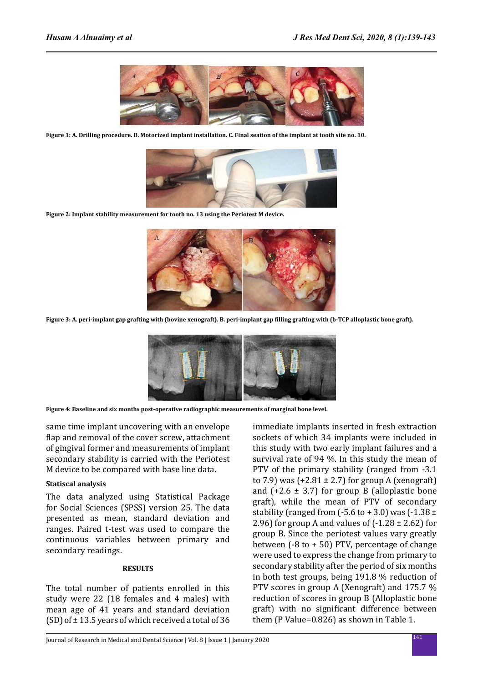

**Figure 1: A. Drilling procedure. B. Motorized implant installation. C. Final seation of the implant at tooth site no. 10.**



**Figure 2: Implant stability measurement for tooth no. 13 using the Periotest M device.**



**Figure 3: A. peri-implant gap grafting with (bovine xenograft). B. peri-implant gap filling grafting with (b-TCP alloplastic bone graft).**



**Figure 4: Baseline and six months post-operative radiographic measurements of marginal bone level.**

same time implant uncovering with an envelope flap and removal of the cover screw, attachment of gingival former and measurements of implant secondary stability is carried with the Periotest M device to be compared with base line data.

#### **Statiscal analysis**

The data analyzed using Statistical Package for Social Sciences (SPSS) version 25. The data presented as mean, standard deviation and ranges. Paired t-test was used to compare the continuous variables between primary and secondary readings.

#### **RESULTS**

The total number of patients enrolled in this study were 22 (18 females and 4 males) with mean age of 41 years and standard deviation (SD) of  $\pm$  13.5 years of which received a total of 36 immediate implants inserted in fresh extraction sockets of which 34 implants were included in this study with two early implant failures and a survival rate of 94 %. In this study the mean of PTV of the primary stability (ranged from -3.1 to 7.9) was  $(+2.81 \pm 2.7)$  for group A (xenograft) and  $(+2.6 \pm 3.7)$  for group B (alloplastic bone graft), while the mean of PTV of secondary stability (ranged from  $(-5.6 \text{ to } +3.0)$  was  $(-1.38 \pm$ 2.96) for group A and values of  $(-1.28 \pm 2.62)$  for group B. Since the periotest values vary greatly between  $(-8 \text{ to } +50)$  PTV, percentage of change were used to express the change from primary to secondary stability after the period of six months in both test groups, being 191.8 % reduction of PTV scores in group A (Xenograft) and 175.7 % reduction of scores in group B (Alloplastic bone graft) with no significant difference between them (P Value=0.826) as shown in Table 1.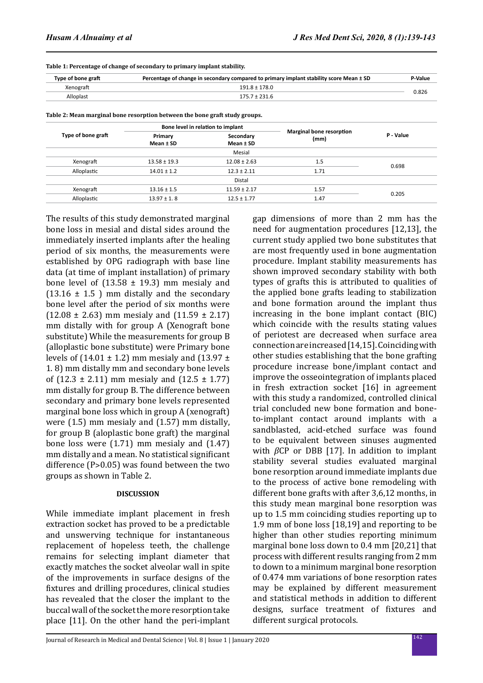0.698

0.205

| Type of bone graft                                                          |                                   |           | Percentage of change in secondary compared to primary implant stability score Mean ± SD | P-Value   |
|-----------------------------------------------------------------------------|-----------------------------------|-----------|-----------------------------------------------------------------------------------------|-----------|
| Xenograft                                                                   | $191.8 \pm 178.0$                 |           |                                                                                         |           |
| Alloplast                                                                   | $175.7 \pm 231.6$                 |           |                                                                                         | 0.826     |
| Table 2: Mean marginal bone resorption between the bone graft study groups. |                                   |           |                                                                                         |           |
|                                                                             | Bone level in relation to implant |           |                                                                                         |           |
| Type of bone graft                                                          | Primary                           | Secondary | <b>Marginal bone resorption</b><br>$1 - 1$                                              | P - Value |

**Secondary Mean ± SD** Mesial

Primary **Reference Containing Secondary** *P* - Value *(mm)* P - Value

**Table 1: Percentage of change of secondary to primary implant stability.**

**Mean ± SD**

The results of this study demonstrated marginal bone loss in mesial and distal sides around the immediately inserted implants after the healing period of six months, the measurements were established by OPG radiograph with base line data (at time of implant installation) of primary bone level of  $(13.58 \pm 19.3)$  mm mesialy and  $(13.16 \pm 1.5)$  mm distally and the secondary bone level after the period of six months were  $(12.08 \pm 2.63)$  mm mesialy and  $(11.59 \pm 2.17)$ mm distally with for group A (Xenograft bone substitute) While the measurements for group B Xenograft 13.58 ± 19.3 12.08 ± 2.63 1.5 Alloplastic 14.01 ± 1.2 12.3 ± 2.11 1.71 Distal Xenograft 13.16 ± 1.5 11.59 ± 2.17 1.57 Alloplastic 13.97 ± 1. 8 12.5 ± 1.77 1.47

(alloplastic bone substitute) were Primary bone levels of  $(14.01 \pm 1.2)$  mm mesialy and  $(13.97 \pm 1.2)$ 1. 8) mm distally mm and secondary bone levels of  $(12.3 \pm 2.11)$  mm mesialy and  $(12.5 \pm 1.77)$ mm distally for group B. The difference between secondary and primary bone levels represented marginal bone loss which in group A (xenograft) were (1.5) mm mesialy and (1.57) mm distally, for group B (aloplastic bone graft) the marginal bone loss were (1.71) mm mesialy and (1.47) mm distally and a mean. No statistical significant difference (P>0.05) was found between the two groups as shown in Table 2.

## **DISCUSSION**

While immediate implant placement in fresh extraction socket has proved to be a predictable and unswerving technique for instantaneous replacement of hopeless teeth, the challenge remains for selecting implant diameter that exactly matches the socket alveolar wall in spite of the improvements in surface designs of the fixtures and drilling procedures, clinical studies has revealed that the closer the implant to the buccal wall of the socket the more resorption take place [11]. On the other hand the peri-implant gap dimensions of more than 2 mm has the need for augmentation procedures [12,13], the current study applied two bone substitutes that are most frequently used in bone augmentation procedure. Implant stability measurements has shown improved secondary stability with both types of grafts this is attributed to qualities of the applied bone grafts leading to stabilization and bone formation around the implant thus increasing in the bone implant contact (BIC) which coincide with the results stating values of periotest are decreased when surface area connection are increased [14,15]. Coinciding with other studies establishing that the bone grafting procedure increase bone/implant contact and improve the osseointegration of implants placed in fresh extraction socket [16] in agreement with this study a randomized, controlled clinical trial concluded new bone formation and boneto-implant contact around implants with a sandblasted, acid-etched surface was found to be equivalent between sinuses augmented with  $\beta$ CP or DBB [17]. In addition to implant stability several studies evaluated marginal bone resorption around immediate implants due to the process of active bone remodeling with different bone grafts with after 3,6,12 months, in this study mean marginal bone resorption was up to 1.5 mm coinciding studies reporting up to 1.9 mm of bone loss [18,19] and reporting to be higher than other studies reporting minimum marginal bone loss down to 0.4 mm [20,21] that process with different results ranging from 2 mm to down to a minimum marginal bone resorption of 0.474 mm variations of bone resorption rates may be explained by different measurement and statistical methods in addition to different designs, surface treatment of fixtures and different surgical protocols.